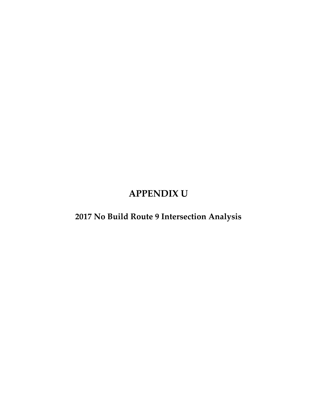### **APPENDIX U**

#### **2017 No Build Route 9 Intersection Analysis**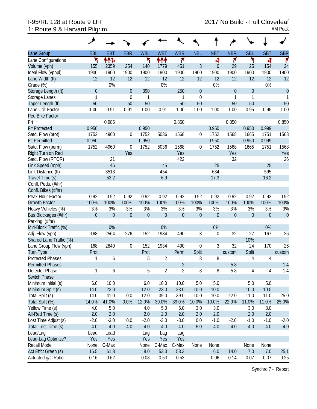# 1: Route 9 & Harvard Pilgrim AM Peak

| عر                                                                                                                  |                |                  |                  |                  |                  |                  |              |
|---------------------------------------------------------------------------------------------------------------------|----------------|------------------|------------------|------------------|------------------|------------------|--------------|
| <b>EBR</b><br><b>WBL</b><br><b>WBT</b><br>Lane Group<br>EBL<br><b>EBT</b>                                           | <b>WBR</b>     | <b>NBL</b>       | <b>NBT</b>       | <b>NBR</b>       | <b>SBL</b>       | <b>SBT</b>       | <b>SBR</b>   |
| ۲<br>ተተኈ<br>۲<br>ተተተ<br>Lane Configurations                                                                         | ۴              |                  | 4                | ۴                | ۲                | ची               | ۴            |
| 2359<br>254<br>Volume (vph)<br>155<br>140<br>1779                                                                   | 451            | 3                | $\theta$         | 29               | 25               | 154              | 24           |
| 1900<br>1900<br>1900<br>Ideal Flow (vphpl)<br>1900<br>1900                                                          | 1900           | 1900             | 1900             | 1900             | 1900             | 1900             | 1900         |
| 12<br>12<br>Lane Width (ft)<br>12<br>12<br>12                                                                       | 12             | 12               | 12               | 12               | 12               | 12               | 12           |
| 0%<br>0%<br>Grade (%)                                                                                               |                |                  | 0%               |                  |                  | 0%               |              |
| $\theta$<br>$\overline{0}$<br>390<br>Storage Length (ft)                                                            | 250            | $\mathbf 0$      |                  | $\theta$         | $\boldsymbol{0}$ |                  | $\mathbf{0}$ |
| Storage Lanes<br>$\mathbf{1}$<br>$\mathbf 0$<br>$\mathbf{1}$                                                        | 1              | $\mathbf 0$      |                  | 1                | 1                |                  | 1            |
| Taper Length (ft)<br>50<br>50<br>50                                                                                 | 50             | 50               |                  | 50               | 50               |                  | 50           |
| 0.91<br>0.91<br>0.91<br>Lane Util. Factor<br>1.00<br>1.00                                                           | 1.00           | 1.00             | 1.00             | 1.00             | 0.95             | 0.95             | 1.00         |
| Ped Bike Factor                                                                                                     |                |                  |                  |                  |                  |                  |              |
| 0.985<br>Frt                                                                                                        | 0.850          |                  |                  | 0.850            |                  |                  | 0.850        |
| <b>Flt Protected</b><br>0.950<br>0.950                                                                              |                |                  | 0.950            |                  | 0.950            | 0.999            |              |
| 1752<br>Satd. Flow (prot)<br>1752<br>4960<br>5036<br>$\overline{0}$                                                 | 1568           | 0                | 1752             | 1568             | 1665             | 1751             | 1568         |
| <b>Flt Permitted</b><br>0.950<br>0.950                                                                              |                |                  | 0.950            |                  | 0.950            | 0.999            |              |
| Satd. Flow (perm)<br>1752<br>4960<br>1752<br>5036<br>$\overline{0}$                                                 | 1568           | 0                | 1752             | 1568             | 1665             | 1751             | 1568         |
| Right Turn on Red<br>Yes                                                                                            | Yes            |                  |                  | Yes              |                  |                  | Yes          |
| Satd. Flow (RTOR)<br>21                                                                                             | 422            |                  |                  | 32               |                  |                  | 26           |
| Link Speed (mph)<br>45<br>45                                                                                        |                |                  | 25               |                  |                  | 25               |              |
| 3513<br>454<br>Link Distance (ft)                                                                                   |                |                  | 634              |                  |                  | 595              |              |
| Travel Time (s)<br>53.2<br>6.9                                                                                      |                |                  | 17.3             |                  |                  | 16.2             |              |
| Confl. Peds. (#/hr)                                                                                                 |                |                  |                  |                  |                  |                  |              |
| Confl. Bikes (#/hr)                                                                                                 |                |                  |                  |                  |                  |                  |              |
| 0.92<br>0.92<br>Peak Hour Factor<br>0.92<br>0.92<br>0.92                                                            | 0.92           | 0.92             | 0.92             | 0.92             | 0.92             | 0.92             | 0.92         |
| 100%<br>100%<br>100%<br>100%<br><b>Growth Factor</b><br>100%                                                        | 100%           | 100%             | 100%             | 100%             | 100%             | 100%             | 100%         |
| 3%<br>3%<br>3%<br>3%<br>Heavy Vehicles (%)<br>3%                                                                    | 3%             | 3%               | 3%               | 3%               | 3%               | 3%               | 3%           |
| $\boldsymbol{0}$<br>$\boldsymbol{0}$<br>$\mathbf 0$<br>$\boldsymbol{0}$<br>$\boldsymbol{0}$<br>Bus Blockages (#/hr) | $\theta$       | $\boldsymbol{0}$ | $\boldsymbol{0}$ | $\boldsymbol{0}$ | $\boldsymbol{0}$ | $\boldsymbol{0}$ | $\theta$     |
| Parking (#/hr)                                                                                                      |                |                  |                  |                  |                  |                  |              |
| 0%<br>Mid-Block Traffic (%)<br>0%                                                                                   |                |                  | 0%               |                  |                  | 0%               |              |
| 2564<br>Adj. Flow (vph)<br>168<br>276<br>152<br>1934                                                                | 490            | 3                | $\boldsymbol{0}$ | 32               | 27               | 167              | 26           |
| Shared Lane Traffic (%)                                                                                             |                |                  |                  |                  | 10%              |                  |              |
| Lane Group Flow (vph)<br>168<br>2840<br>152<br>1934<br>0                                                            | 490            | $\mathbf 0$      | 3                | 32               | 24               | 170              | 26           |
| <b>Turn Type</b><br>Prot<br>Prot                                                                                    | Perm           | Split            |                  | custom           | Split            |                  | custom       |
| <b>Protected Phases</b><br>1<br>5<br>$\overline{2}$<br>6                                                            |                | 8                | 8                |                  | 4                | 4                |              |
| <b>Permitted Phases</b>                                                                                             | $\overline{2}$ |                  |                  | 58               |                  |                  | 14           |
| Detector Phase<br>1<br>6<br>5<br>$\overline{2}$                                                                     | 2              | 8                | 8                | 58               | $\overline{4}$   | 4                | 14           |
| <b>Switch Phase</b>                                                                                                 |                |                  |                  |                  |                  |                  |              |
| 10.0<br>Minimum Initial (s)<br>6.0<br>6.0<br>10.0                                                                   | 10.0           | 5.0              | 5.0              |                  | 5.0              | 5.0              |              |
| Minimum Split (s)<br>14.0<br>23.0<br>12.0<br>23.0                                                                   | 23.0           | 10.0             | 10.0             |                  | 10.0             | 10.0             |              |
| Total Split (s)<br>12.0<br>39.0<br>14.0<br>41.0<br>0.0                                                              | 39.0           | 10.0             | 10.0             | 22.0             | 11.0             | 11.0             | 25.0         |
| 0.0%<br>Total Split (%)<br>14.0%<br>41.0%<br>12.0%<br>39.0%                                                         | 39.0%          | 10.0%            | 10.0%            | 22.0%            | 11.0%            | 11.0%            | 25.0%        |
| Yellow Time (s)<br>5.0<br>4.0<br>4.0<br>5.0                                                                         | 5.0            | 3.0              | 3.0              |                  | 3.0              | 3.0              |              |
| All-Red Time (s)<br>2.0<br>2.0<br>2.0<br>2.0                                                                        | 2.0            | 2.0              | 2.0              |                  | 2.0              | 2.0              |              |
| Lost Time Adjust (s)<br>$-2.0$<br>$-3.0$<br>0.0<br>$-2.0$<br>$-3.0$                                                 | $-3.0$         | 0.0              | $-1.0$           | $-2.0$           | $-1.0$           | $-1.0$           | $-2.0$       |
| Total Lost Time (s)<br>4.0<br>4.0<br>4.0<br>4.0<br>4.0                                                              | 4.0            | 5.0              | 4.0              | 4.0              | 4.0              | 4.0              | 4.0          |
| Lead/Lag<br>Lead<br>Lead<br>Lag<br>Lag                                                                              | Lag            |                  |                  |                  |                  |                  |              |
| Lead-Lag Optimize?<br>Yes<br>Yes<br>Yes<br>Yes                                                                      | Yes            |                  |                  |                  |                  |                  |              |
| Recall Mode<br>C-Max<br>C-Max<br>None<br>None                                                                       | C-Max          | None             | None             |                  | None             | None             |              |
| Act Effct Green (s)<br>61.8<br>8.0<br>53.3<br>16.5                                                                  | 53.3           |                  | 6.0              | 14.0             | 7.0              | 7.0              | 25.1         |
| Actuated g/C Ratio<br>0.62<br>0.08<br>0.53<br>0.16                                                                  |                |                  |                  |                  |                  |                  |              |

Synchro 7 - Report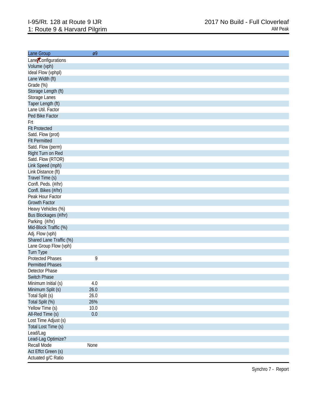| Lane Group              | Ø9   |
|-------------------------|------|
| Lane Configurations     |      |
| Volume (vph)            |      |
| Ideal Flow (vphpl)      |      |
| Lane Width (ft)         |      |
| Grade (%)               |      |
| Storage Length (ft)     |      |
| Storage Lanes           |      |
| Taper Length (ft)       |      |
| Lane Util. Factor       |      |
| Ped Bike Factor         |      |
| Frt                     |      |
| <b>FIt Protected</b>    |      |
| Satd. Flow (prot)       |      |
| <b>Flt Permitted</b>    |      |
| Satd. Flow (perm)       |      |
| Right Turn on Red       |      |
| Satd. Flow (RTOR)       |      |
| Link Speed (mph)        |      |
| Link Distance (ft)      |      |
| Travel Time (s)         |      |
| Confl. Peds. (#/hr)     |      |
| Confl. Bikes (#/hr)     |      |
| Peak Hour Factor        |      |
| <b>Growth Factor</b>    |      |
| Heavy Vehicles (%)      |      |
| Bus Blockages (#/hr)    |      |
| Parking (#/hr)          |      |
| Mid-Block Traffic (%)   |      |
| Adj. Flow (vph)         |      |
| Shared Lane Traffic (%) |      |
| Lane Group Flow (vph)   |      |
| Turn Type               |      |
| <b>Protected Phases</b> | 9    |
| <b>Permitted Phases</b> |      |
| <b>Detector Phase</b>   |      |
| <b>Switch Phase</b>     |      |
| Minimum Initial (s)     | 4.0  |
| Minimum Split (s)       | 26.0 |
| Total Split (s)         | 26.0 |
| Total Split (%)         | 26%  |
| Yellow Time (s)         | 10.0 |
| All-Red Time (s)        | 0.0  |
| Lost Time Adjust (s)    |      |
| Total Lost Time (s)     |      |
| Lead/Lag                |      |
| Lead-Lag Optimize?      |      |
| Recall Mode             | None |
| Act Effct Green (s)     |      |
| Actuated g/C Ratio      |      |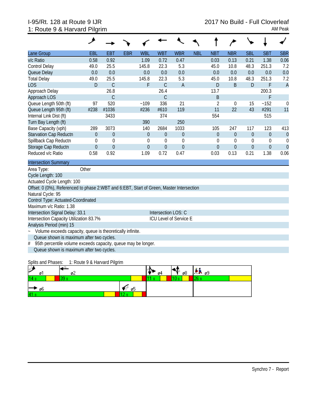# 1: Route 9 & Harvard Pilgrim AM Peak

| Lane Group                                                                               | EBL              | <b>EBT</b>       | <b>EBR</b> | <b>WBL</b>       | <b>WBT</b>     | <b>WBR</b>       | <b>NBL</b> | <b>NBT</b>       | <b>NBR</b>       | <b>SBL</b>     | <b>SBT</b>       | <b>SBR</b>       |
|------------------------------------------------------------------------------------------|------------------|------------------|------------|------------------|----------------|------------------|------------|------------------|------------------|----------------|------------------|------------------|
| v/c Ratio                                                                                | 0.58             | 0.92             |            | 1.09             | 0.72           | 0.47             |            | 0.03             | 0.13             | 0.21           | 1.38             | 0.06             |
| <b>Control Delay</b>                                                                     | 49.0             | 25.5             |            | 145.8            | 22.3           | 5.3              |            | 45.0             | 10.8             | 48.3           | 251.3            | 7.2              |
| Queue Delay                                                                              | 0.0              | 0.0              |            | 0.0              | 0.0            | 0.0              |            | 0.0              | 0.0              | 0.0            | 0.0              | 0.0              |
| <b>Total Delay</b>                                                                       | 49.0             | 25.5             |            | 145.8            | 22.3           | 5.3              |            | 45.0             | 10.8             | 48.3           | 251.3            | 7.2              |
| <b>LOS</b>                                                                               | D                | $\mathcal{C}$    |            | F                | $\mathsf{C}$   | $\overline{A}$   |            | D                | B                | D              | F                | $\overline{A}$   |
| Approach Delay                                                                           |                  | 26.8             |            |                  | 26.4           |                  |            | 13.7             |                  |                | 200.3            |                  |
| Approach LOS                                                                             |                  | $\mathcal{C}$    |            |                  | $\mathsf{C}$   |                  |            | B                |                  |                | F                |                  |
| Queue Length 50th (ft)                                                                   | 97               | 520              |            | $-109$           | 336            | 21               |            | $\overline{2}$   | $\theta$         | 15             | ~152             | $\mathbf 0$      |
| Queue Length 95th (ft)                                                                   | #238             | #1036            |            | #236             | #610           | 119              |            | 11               | 22               | 43             | #291             | 11               |
| Internal Link Dist (ft)                                                                  |                  | 3433             |            |                  | 374            |                  |            | 554              |                  |                | 515              |                  |
| Turn Bay Length (ft)                                                                     |                  |                  |            | 390              |                | 250              |            |                  |                  |                |                  |                  |
| Base Capacity (vph)                                                                      | 289              | 3073             |            | 140              | 2684           | 1033             |            | 105              | 247              | 117            | 123              | 413              |
| <b>Starvation Cap Reductn</b>                                                            | $\boldsymbol{0}$ | $\boldsymbol{0}$ |            | $\boldsymbol{0}$ | $\mathbf 0$    | $\boldsymbol{0}$ |            | $\boldsymbol{0}$ | $\boldsymbol{0}$ | $\overline{0}$ | $\boldsymbol{0}$ | $\overline{0}$   |
| Spillback Cap Reductn                                                                    | $\theta$         | $\mathbf 0$      |            | $\boldsymbol{0}$ | $\mathbf 0$    | $\mathbf 0$      |            | $\boldsymbol{0}$ | $\theta$         | 0              | $\theta$         | $\boldsymbol{0}$ |
| Storage Cap Reductn                                                                      | $\theta$         | $\mathbf 0$      |            | $\overline{0}$   | $\overline{0}$ | $\overline{0}$   |            | $\theta$         | $\overline{0}$   | $\overline{0}$ | $\theta$         | $\overline{0}$   |
| Reduced v/c Ratio                                                                        | 0.58             | 0.92             |            | 1.09             | 0.72           | 0.47             |            | 0.03             | 0.13             | 0.21           | 1.38             | 0.06             |
| <b>Intersection Summary</b>                                                              |                  |                  |            |                  |                |                  |            |                  |                  |                |                  |                  |
| Area Type:                                                                               | Other            |                  |            |                  |                |                  |            |                  |                  |                |                  |                  |
| Cycle Length: 100                                                                        |                  |                  |            |                  |                |                  |            |                  |                  |                |                  |                  |
| Actuated Cycle Length: 100                                                               |                  |                  |            |                  |                |                  |            |                  |                  |                |                  |                  |
| Offset: 0 (0%), Referenced to phase 2:WBT and 6:EBT, Start of Green, Master Intersection |                  |                  |            |                  |                |                  |            |                  |                  |                |                  |                  |
| Natural Cycle: 95                                                                        |                  |                  |            |                  |                |                  |            |                  |                  |                |                  |                  |
| Control Type: Actuated-Coordinated                                                       |                  |                  |            |                  |                |                  |            |                  |                  |                |                  |                  |
| Maximum v/c Ratio: 1.38                                                                  |                  |                  |            |                  |                |                  |            |                  |                  |                |                  |                  |
| Intersection Signal Delay: 33.1<br>Intersection LOS: C                                   |                  |                  |            |                  |                |                  |            |                  |                  |                |                  |                  |
| Intersection Capacity Utilization 83.7%<br>ICU Level of Service E                        |                  |                  |            |                  |                |                  |            |                  |                  |                |                  |                  |
| Analysis Period (min) 15                                                                 |                  |                  |            |                  |                |                  |            |                  |                  |                |                  |                  |
| Volume exceeds capacity, queue is theoretically infinite.<br>$\sim$                      |                  |                  |            |                  |                |                  |            |                  |                  |                |                  |                  |
| Queue shown is maximum after two cycles.                                                 |                  |                  |            |                  |                |                  |            |                  |                  |                |                  |                  |
| 95th percentile volume exceeds capacity, queue may be longer.<br>#                       |                  |                  |            |                  |                |                  |            |                  |                  |                |                  |                  |
| Queue shown is maximum after two cycles.                                                 |                  |                  |            |                  |                |                  |            |                  |                  |                |                  |                  |

Splits and Phases: 1: Route 9 & Harvard Pilgrim

| ₽    | øΙ   | øZ       |    | о4 |   | ø8 | $AB_{09}$ |  |
|------|------|----------|----|----|---|----|-----------|--|
| 14s  |      | 29.<br>u |    |    | - |    | oo.<br>-- |  |
|      | ∣→ ‰ |          | ø5 |    |   |    |           |  |
| 41 s |      |          |    |    |   |    |           |  |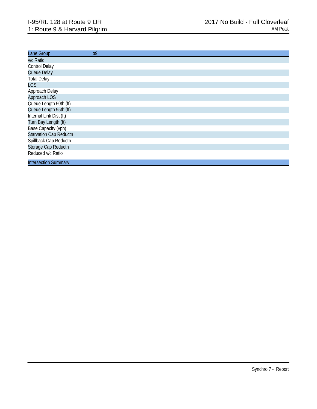| Lane Group                    | $\varnothing$ |
|-------------------------------|---------------|
| v/c Ratio                     |               |
| Control Delay                 |               |
| Queue Delay                   |               |
| <b>Total Delay</b>            |               |
| <b>LOS</b>                    |               |
| Approach Delay                |               |
| Approach LOS                  |               |
| Queue Length 50th (ft)        |               |
| Queue Length 95th (ft)        |               |
| Internal Link Dist (ft)       |               |
| Turn Bay Length (ft)          |               |
| Base Capacity (vph)           |               |
| <b>Starvation Cap Reductn</b> |               |
| Spillback Cap Reductn         |               |
| Storage Cap Reductn           |               |
| Reduced v/c Ratio             |               |
| <b>Intersection Summary</b>   |               |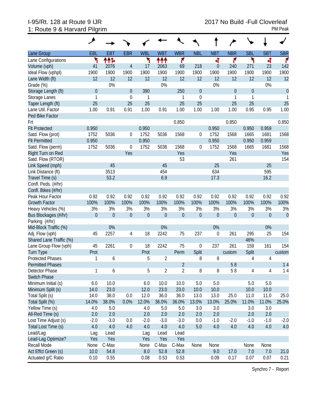# 1: Route 9 & Harvard Pilgrim

|                         | فر           |              |                |              |                |                  |             |                |                  |            |                  |             |
|-------------------------|--------------|--------------|----------------|--------------|----------------|------------------|-------------|----------------|------------------|------------|------------------|-------------|
| Lane Group              | EBL          | <b>EBT</b>   | <b>EBR</b>     | <b>WBL</b>   | <b>WBT</b>     | <b>WBR</b>       | <b>NBL</b>  | <b>NBT</b>     | <b>NBR</b>       | <b>SBL</b> | <b>SBT</b>       | <b>SBR</b>  |
| Lane Configurations     | ۲            | ተተኈ          |                | ۲            | ተተተ            | ۴                |             | 4              | ۴                | ۲          | 4                | ۴           |
| Volume (vph)            | 41           | 2076         | $\overline{4}$ | 17           | 2063           | 69               | 218         | $\overline{0}$ | 240              | 271        | 23               | 142         |
| Ideal Flow (vphpl)      | 1900         | 1900         | 1900           | 1900         | 1900           | 1900             | 1900        | 1900           | 1900             | 1900       | 1900             | 1900        |
| Lane Width (ft)         | 12           | 12           | 12             | 12           | 12             | 12               | 12          | 12             | 12               | 12         | 12               | 12          |
| Grade (%)               |              | 0%           |                |              | 0%             |                  |             | 0%             |                  |            | 0%               |             |
| Storage Length (ft)     | $\theta$     |              | $\overline{0}$ | 390          |                | 250              | $\theta$    |                | $\overline{0}$   | $\theta$   |                  | $\theta$    |
| Storage Lanes           | $\mathbf{1}$ |              | $\mathbf 0$    | 1            |                | 1                | $\mathbf 0$ |                | 1                | 1          |                  | 1           |
| Taper Length (ft)       | 25           |              | 25             | 25           |                | 25               | 25          |                | 25               | 25         |                  | 25          |
| Lane Util. Factor       | 1.00         | 0.91         | 0.91           | 1.00         | 0.91           | 1.00             | 1.00        | 1.00           | 1.00             | 0.95       | 0.95             | 1.00        |
| Ped Bike Factor         |              |              |                |              |                |                  |             |                |                  |            |                  |             |
| Frt                     |              |              |                |              |                | 0.850            |             |                | 0.850            |            |                  | 0.850       |
| <b>Flt Protected</b>    | 0.950        |              |                | 0.950        |                |                  |             | 0.950          |                  | 0.950      | 0.959            |             |
| Satd. Flow (prot)       | 1752         | 5036         | $\mathbf 0$    | 1752         | 5036           | 1568             | $\mathbf 0$ | 1752           | 1568             | 1665       | 1681             | 1568        |
| <b>Flt Permitted</b>    | 0.950        |              |                | 0.950        |                |                  |             | 0.950          |                  | 0.950      | 0.959            |             |
| Satd. Flow (perm)       | 1752         | 5036         | $\mathbf 0$    | 1752         | 5036           | 1568             | $\mathbf 0$ | 1752           | 1568             | 1665       | 1681             | 1568        |
| Right Turn on Red       |              |              | Yes            |              |                | Yes              |             |                | Yes              |            |                  | Yes         |
| Satd. Flow (RTOR)       |              |              |                |              |                | 53               |             |                | 261              |            |                  | 154         |
| Link Speed (mph)        |              | 45           |                |              | 45             |                  |             | 25             |                  |            | 25               |             |
| Link Distance (ft)      |              | 3513         |                |              | 454            |                  |             | 634            |                  |            | 595              |             |
| Travel Time (s)         |              | 53.2         |                |              | 6.9            |                  |             | 17.3           |                  |            | 16.2             |             |
| Confl. Peds. (#/hr)     |              |              |                |              |                |                  |             |                |                  |            |                  |             |
| Confl. Bikes (#/hr)     |              |              |                |              |                |                  |             |                |                  |            |                  |             |
| Peak Hour Factor        | 0.92         | 0.92         | 0.92           | 0.92         | 0.92           | 0.92             | 0.92        | 0.92           | 0.92             | 0.92       | 0.92             | 0.92        |
| <b>Growth Factor</b>    | 100%         | 100%         | 100%           | 100%         | 100%           | 100%             | 100%        | 100%           | 100%             | 100%       | 100%             | 100%        |
| Heavy Vehicles (%)      | 3%           | 3%           | 3%             | 3%           | 3%             | 3%               | 3%          | 3%             | 3%               | 3%         | 3%               | 3%          |
| Bus Blockages (#/hr)    | $\mathbf{0}$ | $\mathbf{0}$ | $\overline{0}$ | $\mathbf{0}$ | $\theta$       | $\boldsymbol{0}$ | $\theta$    | $\overline{0}$ | $\boldsymbol{0}$ | $\theta$   | $\boldsymbol{0}$ | $\mathbf 0$ |
| Parking (#/hr)          |              |              |                |              |                |                  |             |                |                  |            |                  |             |
| Mid-Block Traffic (%)   |              | 0%           |                |              | 0%             |                  |             | 0%             |                  |            | 0%               |             |
| Adj. Flow (vph)         | 45           | 2257         | 4              | 18           | 2242           | 75               | 237         | 0              | 261              | 295        | 25               | 154         |
| Shared Lane Traffic (%) |              |              |                |              |                |                  |             |                |                  | 46%        |                  |             |
| Lane Group Flow (vph)   | 45           | 2261         | $\mathbf 0$    | 18           | 2242           | 75               | $\mathbf 0$ | 237            | 261              | 159        | 161              | 154         |
| <b>Turn Type</b>        | Prot         |              |                | Prot         |                | Perm             | Split       |                | custom           | Split      |                  | custom      |
| <b>Protected Phases</b> | 1            | 6            |                | 5            | $\overline{2}$ |                  | 8           | 8              |                  | 4          | 4                |             |
| <b>Permitted Phases</b> |              |              |                |              |                | $\overline{2}$   |             |                | 58               |            |                  | 14          |
| Detector Phase          | $\mathbf{1}$ | 6            |                | 5            | $\overline{2}$ | $\overline{2}$   | 8           | 8              | 58               | 4          | $\overline{4}$   | 14          |
| Switch Phase            |              |              |                |              |                |                  |             |                |                  |            |                  |             |
| Minimum Initial (s)     | 6.0          | 10.0         |                | 6.0          | 10.0           | 10.0             | 5.0         | 5.0            |                  | 5.0        | $5.0\,$          |             |
| Minimum Split (s)       | 14.0         | 23.0         |                | 12.0         | 23.0           | 23.0             | 10.0        | 10.0           |                  | 10.0       | 10.0             |             |
| Total Split (s)         | 14.0         | 38.0         | $0.0\,$        | 12.0         | 36.0           | 36.0             | 13.0        | 13.0           | 25.0             | 11.0       | 11.0             | 25.0        |
| Total Split (%)         | 14.0%        | 38.0%        | 0.0%           | 12.0%        | 36.0%          | 36.0%            | 13.0%       | 13.0%          | 25.0%            | 11.0%      | 11.0%            | 25.0%       |
| Yellow Time (s)         | 4.0          | 5.0          |                | 4.0          | 5.0            | 5.0              | 3.0         | 3.0            |                  | 3.0        | 3.0              |             |
| All-Red Time (s)        | 2.0          | 2.0          |                | 2.0          | 2.0            | 2.0              | 2.0         | 2.0            |                  | 2.0        | 2.0              |             |
| Lost Time Adjust (s)    | $-2.0$       | $-3.0$       | 0.0            | $-2.0$       | $-3.0$         | $-3.0$           | 0.0         | $-1.0$         | $-2.0$           | $-1.0$     | $-1.0$           | $-2.0$      |
| Total Lost Time (s)     | 4.0          | 4.0          | 4.0            | 4.0          | 4.0            | 4.0              | 5.0         | 4.0            | 4.0              | 4.0        | 4.0              | 4.0         |
| Lead/Lag                | Lag          | Lead         |                | Lag          | Lead           | Lead             |             |                |                  |            |                  |             |
| Lead-Lag Optimize?      | Yes          | Yes          |                | Yes          | Yes            | Yes              |             |                |                  |            |                  |             |
| Recall Mode             | None         | C-Max        |                | None         | C-Max          | C-Max            | None        | None           |                  | None       | None             |             |
| Act Effct Green (s)     | 10.0         | 54.8         |                | 8.0          | 52.8           | 52.8             |             | 9.0            | 17.0             | 7.0        | 7.0              | 21.0        |
| Actuated g/C Ratio      | 0.10         | 0.55         |                | 0.08         | 0.53           | 0.53             |             | 0.09           | 0.17             | 0.07       | 0.07             | 0.21        |

Synchro 7 - Report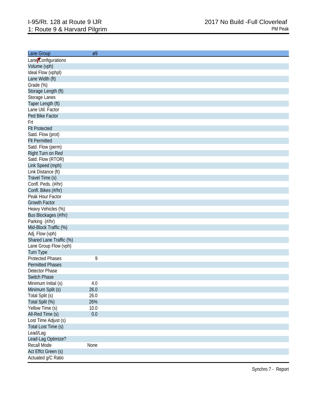| Lane Group                           | Ø9   |
|--------------------------------------|------|
| Lane Configurations                  |      |
| Volume (vph)                         |      |
| Ideal Flow (vphpl)                   |      |
| Lane Width (ft)                      |      |
| Grade (%)                            |      |
| Storage Length (ft)                  |      |
| Storage Lanes                        |      |
| Taper Length (ft)                    |      |
| Lane Util. Factor                    |      |
| Ped Bike Factor                      |      |
| Frt                                  |      |
| <b>FIt Protected</b>                 |      |
| Satd. Flow (prot)                    |      |
| <b>Flt Permitted</b>                 |      |
| Satd. Flow (perm)                    |      |
| Right Turn on Red                    |      |
| Satd. Flow (RTOR)                    |      |
| Link Speed (mph)                     |      |
| Link Distance (ft)                   |      |
| Travel Time (s)                      |      |
| Confl. Peds. (#/hr)                  |      |
| Confl. Bikes (#/hr)                  |      |
| Peak Hour Factor                     |      |
| <b>Growth Factor</b>                 |      |
| Heavy Vehicles (%)                   |      |
| Bus Blockages (#/hr)                 |      |
| Parking (#/hr)                       |      |
| Mid-Block Traffic (%)                |      |
| Adj. Flow (vph)                      |      |
| Shared Lane Traffic (%)              |      |
| Lane Group Flow (vph)                |      |
|                                      |      |
| Turn Type<br><b>Protected Phases</b> | 9    |
| <b>Permitted Phases</b>              |      |
| <b>Detector Phase</b>                |      |
| <b>Switch Phase</b>                  |      |
|                                      |      |
| Minimum Initial (s)                  | 4.0  |
| Minimum Split (s)                    | 26.0 |
| Total Split (s)                      | 26.0 |
| Total Split (%)                      | 26%  |
| Yellow Time (s)                      | 10.0 |
| All-Red Time (s)                     | 0.0  |
| Lost Time Adjust (s)                 |      |
| Total Lost Time (s)                  |      |
| Lead/Lag                             |      |
| Lead-Lag Optimize?                   |      |
| <b>Recall Mode</b>                   | None |
| Act Effct Green (s)                  |      |
| Actuated g/C Ratio                   |      |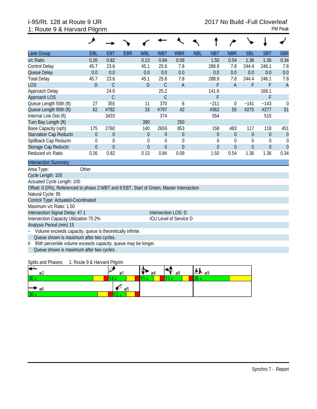### 1: Route 9 & Harvard Pilgrim **PM Peak 1: Route 9 & Harvard Pilgrim**

| Lane Group                                                                               | EBL                                                       | <b>EBT</b>       | <b>EBR</b> | <b>WBL</b>       | <b>WBT</b>       | <b>WBR</b>     | <b>NBL</b> | <b>NBT</b>       | <b>NBR</b>       | <b>SBL</b>     | <b>SBT</b>     | <b>SBR</b>     |
|------------------------------------------------------------------------------------------|-----------------------------------------------------------|------------------|------------|------------------|------------------|----------------|------------|------------------|------------------|----------------|----------------|----------------|
| v/c Ratio                                                                                | 0.26                                                      | 0.82             |            | 0.13             | 0.84             | 0.09           |            | 1.50             | 0.54             | 1.36           | 1.36           | 0.34           |
| <b>Control Delay</b>                                                                     | 45.7                                                      | 23.6             |            | 45.1             | 25.6             | 7.8            |            | 288.9            | 7.8              | 244.4          | 246.1          | 7.8            |
| Queue Delay                                                                              | 0.0                                                       | 0.0              |            | 0.0              | 0.0              | 0.0            |            | 0.0              | 0.0              | 0.0            | 0.0            | 0.0            |
| <b>Total Delay</b>                                                                       | 45.7                                                      | 23.6             |            | 45.1             | 25.6             | 7.8            |            | 288.9            | 7.8              | 244.4          | 246.1          | 7.8            |
| <b>LOS</b>                                                                               | D                                                         | $\mathsf{C}$     |            | $\mathsf{D}$     | $\mathsf C$      | $\overline{A}$ |            | F                | $\overline{A}$   | F              | F              | $\overline{A}$ |
| Approach Delay                                                                           |                                                           | 24.0             |            |                  | 25.2             |                |            | 141.6            |                  |                | 168.1          |                |
| Approach LOS                                                                             |                                                           | $\mathsf C$      |            |                  | $\mathcal{C}$    |                |            | F                |                  |                | F              |                |
| Queue Length 50th (ft)                                                                   | 27                                                        | 355              |            | 11               | 370              | 6              |            | $-211$           | $\mathbf 0$      | $-141$         | ~143           | $\mathbf 0$    |
| Queue Length 95th (ft)                                                                   | 62                                                        | #782             |            | 33               | #797             | 42             |            | #362             | 55               | #275           | #277           | 51             |
| Internal Link Dist (ft)                                                                  |                                                           | 3433             |            |                  | 374              |                |            | 554              |                  |                | 515            |                |
| Turn Bay Length (ft)                                                                     |                                                           |                  |            | 390              |                  | 250            |            |                  |                  |                |                |                |
| Base Capacity (vph)                                                                      | 175                                                       | 2760             |            | 140              | 2659             | 853            |            | 158              | 483              | 117            | 118            | 451            |
| <b>Starvation Cap Reductn</b>                                                            | $\overline{0}$                                            | $\theta$         |            | $\overline{0}$   | $\Omega$         | $\mathbf{0}$   |            | $\overline{0}$   | $\mathbf{0}$     | $\overline{0}$ | $\overline{0}$ | $\overline{0}$ |
| Spillback Cap Reductn                                                                    | 0                                                         | $\mathbf 0$      |            | 0                | $\boldsymbol{0}$ | $\mathbf 0$    |            | $\theta$         | 0                | 0              | 0              | 0              |
| Storage Cap Reductn                                                                      | $\boldsymbol{0}$                                          | $\boldsymbol{0}$ |            | $\boldsymbol{0}$ | $\theta$         | $\theta$       |            | $\boldsymbol{0}$ | $\boldsymbol{0}$ | $\mathbf 0$    | $\mathbf 0$    | $\overline{0}$ |
| Reduced v/c Ratio                                                                        | 0.26                                                      | 0.82             |            | 0.13             | 0.84             | 0.09           |            | 1.50             | 0.54             | 1.36           | 1.36           | 0.34           |
| <b>Intersection Summary</b>                                                              |                                                           |                  |            |                  |                  |                |            |                  |                  |                |                |                |
| Area Type:                                                                               | Other                                                     |                  |            |                  |                  |                |            |                  |                  |                |                |                |
| Cycle Length: 100                                                                        |                                                           |                  |            |                  |                  |                |            |                  |                  |                |                |                |
| Actuated Cycle Length: 100                                                               |                                                           |                  |            |                  |                  |                |            |                  |                  |                |                |                |
| Offset: 0 (0%), Referenced to phase 2:WBT and 6:EBT, Start of Green, Master Intersection |                                                           |                  |            |                  |                  |                |            |                  |                  |                |                |                |
| Natural Cycle: 95                                                                        |                                                           |                  |            |                  |                  |                |            |                  |                  |                |                |                |
| Control Type: Actuated-Coordinated                                                       |                                                           |                  |            |                  |                  |                |            |                  |                  |                |                |                |
| Maximum v/c Ratio: 1.50                                                                  |                                                           |                  |            |                  |                  |                |            |                  |                  |                |                |                |
| Intersection Signal Delay: 47.1<br>Intersection LOS: D                                   |                                                           |                  |            |                  |                  |                |            |                  |                  |                |                |                |
| Intersection Capacity Utilization 75.2%<br><b>ICU Level of Service D</b>                 |                                                           |                  |            |                  |                  |                |            |                  |                  |                |                |                |
|                                                                                          | Analysis Period (min) 15                                  |                  |            |                  |                  |                |            |                  |                  |                |                |                |
|                                                                                          | Volume exceeds capacity, queue is theoretically infinite. |                  |            |                  |                  |                |            |                  |                  |                |                |                |
| Queue shown is maximum after two cycles.                                                 |                                                           |                  |            |                  |                  |                |            |                  |                  |                |                |                |
| 95th percentile volume exceeds capacity, queue may be longer.<br>#                       |                                                           |                  |            |                  |                  |                |            |                  |                  |                |                |                |
| Queue shown is maximum after two cycles.                                                 |                                                           |                  |            |                  |                  |                |            |                  |                  |                |                |                |

| Splits and Phases: | 1: Route 9 & Harvard Pilgrim |
|--------------------|------------------------------|
|                    |                              |

| Н<br>øZ         | øΙ | о4 | ρ8 | $AB_{09}$ |  |
|-----------------|----|----|----|-----------|--|
| 36              |    |    |    | no.<br>-- |  |
| ⊢<br>► ø6       | ø5 |    |    |           |  |
| 38 <sub>s</sub> |    |    |    |           |  |